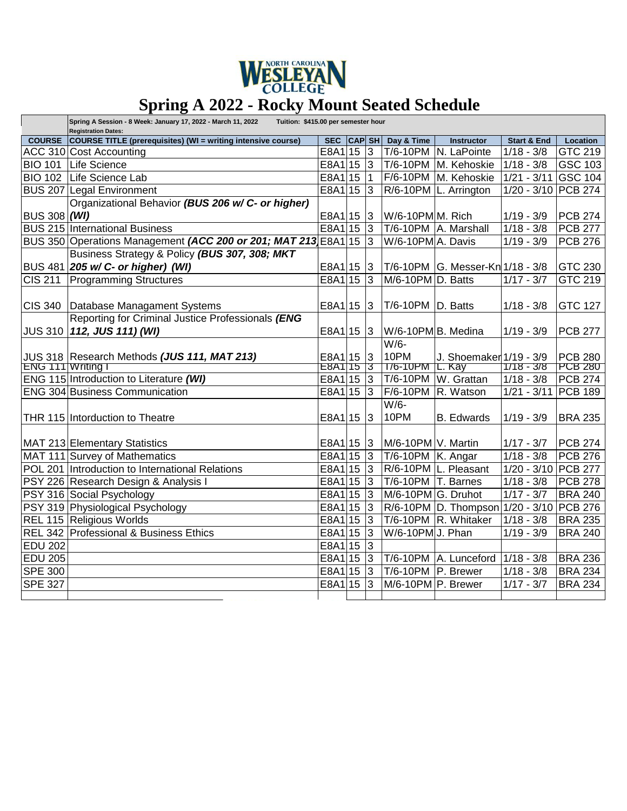

## **Spring A 2022 - Rocky Mount Seated Schedule**

|                     | Spring A Session - 8 Week: January 17, 2022 - March 11, 2022<br>Tuition: \$415.00 per semester hour<br><b>Registration Dates:</b> |             |  |                 |                         |                                          |                        |                             |  |
|---------------------|-----------------------------------------------------------------------------------------------------------------------------------|-------------|--|-----------------|-------------------------|------------------------------------------|------------------------|-----------------------------|--|
| <b>COURSE</b>       | COURSE TITLE (prerequisites) (WI = writing intensive course)                                                                      | SEC CAP SH  |  |                 | Day & Time              | <b>Instructor</b>                        | <b>Start &amp; End</b> | Location                    |  |
|                     | ACC 310 Cost Accounting                                                                                                           | $E8A1$ 15   |  | $\vert$ 3       |                         | T/6-10PM N. LaPointe                     | $1/18 - 3/8$           | GTC 219                     |  |
| <b>BIO 101</b>      | Life Science                                                                                                                      | $E8A1$ 15   |  | $\overline{3}$  |                         | T/6-10PM M. Kehoskie                     | $1/18 - 3/8$           | <b>GSC 103</b>              |  |
| <b>BIO 102</b>      | Life Science Lab                                                                                                                  | E8A115      |  | $\vert$ 1       |                         | F/6-10PM M. Kehoskie                     | $1/21 - 3/11$          | $\overline{\text{GSC}}$ 104 |  |
|                     | <b>BUS 207 Legal Environment</b>                                                                                                  | $E8A1$ 15   |  | $\vert$ 3       |                         | R/6-10PM L. Arrington                    | 1/20 - 3/10 PCB 274    |                             |  |
|                     | Organizational Behavior (BUS 206 w/C- or higher)                                                                                  |             |  |                 |                         |                                          |                        |                             |  |
| <b>BUS 308 (WI)</b> |                                                                                                                                   | E8A1 15 3   |  |                 | W/6-10PMM. Rich         |                                          | $1/19 - 3/9$           | PCB 274                     |  |
|                     | <b>BUS 215 International Business</b>                                                                                             | E8A1 15     |  | $\vert$ 3       |                         | T/6-10PM A. Marshall                     | $\frac{1}{1/18}$ - 3/8 | <b>PCB 277</b>              |  |
|                     | BUS 350 Operations Management (ACC 200 or 201; MAT 213 E8A1 15                                                                    |             |  | 3               | W/6-10PM A. Davis       |                                          | $1/19 - 3/9$           | PCB 276                     |  |
|                     | Business Strategy & Policy (BUS 307, 308; MKT                                                                                     |             |  |                 |                         |                                          |                        |                             |  |
|                     | BUS 481 205 w/ C- or higher) (WI)                                                                                                 | E8A1 15 3   |  |                 |                         | T/6-10PM G. Messer-Kn 1/18 - 3/8         |                        | GTC 230                     |  |
| <b>CIS 211</b>      | <b>Programming Structures</b>                                                                                                     | $E8A1$ 15   |  | $\overline{3}$  | M/6-10PM D. Batts       |                                          | $1/17 - 3/7$           | GTC 219                     |  |
|                     |                                                                                                                                   |             |  |                 |                         |                                          |                        |                             |  |
| <b>CIS 340</b>      | Database Managament Systems                                                                                                       | E8A1 15 3   |  |                 | T/6-10PM D. Batts       |                                          | $1/18 - 3/8$           | <b>GTC 127</b>              |  |
|                     | Reporting for Criminal Justice Professionals (ENG                                                                                 |             |  |                 |                         |                                          |                        |                             |  |
|                     | JUS 310   112, JUS 111) (WI)                                                                                                      | $E8A1$ 15 3 |  |                 | W/6-10PM B. Medina      |                                          | $1/19 - 3/9$           | <b>PCB 277</b>              |  |
|                     |                                                                                                                                   |             |  |                 | $W/6-$                  |                                          |                        |                             |  |
|                     | JUS 318 Research Methods (JUS 111, MAT 213)                                                                                       | E8A115      |  | 3               | 10PM                    | J. Shoemaker 1/19 - 3/9                  |                        | <b>PCB 280</b>              |  |
| ENG 111 Writing I   |                                                                                                                                   | E8A115      |  | १३              | 176-10PM                | <b>І</b> . Кау                           | $1/18 - 3/8$           | PCB280                      |  |
|                     | ENG 115 Introduction to Literature (WI)                                                                                           | E8A1 15 3   |  |                 | T/6-10PM                | W. Grattan                               | $1/18 - 3/8$           | PCB 274                     |  |
|                     | <b>ENG 304 Business Communication</b>                                                                                             | $E8A1$ 15   |  | <sub>3</sub>    |                         | $F$ /6-10PM $ R$ . Watson                | $1/21 - 3/11$          | PCB 189                     |  |
|                     |                                                                                                                                   |             |  |                 | $W/6-$                  |                                          |                        |                             |  |
|                     | THR 115 Intorduction to Theatre                                                                                                   | E8A1 15     |  | $\vert$ 3       | 10PM                    | <b>B.</b> Edwards                        | $1/19 - 3/9$           | <b>BRA 235</b>              |  |
|                     |                                                                                                                                   |             |  |                 |                         |                                          |                        |                             |  |
|                     | MAT 213 Elementary Statistics                                                                                                     | E8A1 15     |  | $\vert 3 \vert$ | M/6-10PM V. Martin      |                                          | $1/17 - 3/7$           | <b>PCB 274</b>              |  |
|                     | MAT 111 Survey of Mathematics                                                                                                     | E8A1 15     |  | $\vert$ 3       | $T/6-10PM$ K. Angar     |                                          | $\frac{1}{1/18}$ - 3/8 | PCB 276                     |  |
|                     | POL 201 Introduction to International Relations                                                                                   | E8A1 15     |  | $\vert$ 3       |                         | R/6-10PM L. Pleasant                     | 1/20 - 3/10 PCB 277    |                             |  |
|                     | PSY 226 Research Design & Analysis I                                                                                              | $E8A1$ 15   |  | $\vert$ 3       | T/6-10PM T. Barnes      |                                          | $1/18 - 3/8$           | <b>PCB 278</b>              |  |
|                     | PSY 316 Social Psychology                                                                                                         | $E8A1$ 15   |  | $\vert$ 3       | M/6-10PM G. Druhot      |                                          | $1/17 - 3/7$           | <b>BRA 240</b>              |  |
|                     | PSY 319 Physiological Psychology                                                                                                  | $E8A1$ 15   |  | $\vert$ 3       |                         | R/6-10PM D. Thompson 1/20 - 3/10 PCB 276 |                        |                             |  |
|                     | REL 115 Religious Worlds                                                                                                          | $E8A1$ 15   |  | $\vert$ 3       |                         | T/6-10PM R. Whitaker                     | $1/18 - 3/8$           | <b>BRA 235</b>              |  |
|                     | REL 342 Professional & Business Ethics                                                                                            | $E8A1$ 15   |  | 3               | W/6-10PMJ. Phan         |                                          | $1/19 - 3/9$           | <b>BRA 240</b>              |  |
| <b>EDU 202</b>      |                                                                                                                                   | E8A1 15     |  | $\vert$ 3       |                         |                                          |                        |                             |  |
| <b>EDU 205</b>      |                                                                                                                                   | $E8A1$ 15   |  | $\vert$ 3       |                         | T/6-10PM A. Lunceford                    | $1/18 - 3/8$           | <b>BRA 236</b>              |  |
| <b>SPE 300</b>      |                                                                                                                                   | E8A1 15     |  | $\vert$ 3       | $T/6 - 10PM$  P. Brewer |                                          | $1/18 - 3/8$           | <b>BRA 234</b>              |  |
| <b>SPE 327</b>      |                                                                                                                                   | E8A1 15     |  | $\overline{3}$  | M/6-10PM P. Brewer      |                                          | $1/17 - 3/7$           | <b>BRA 234</b>              |  |
|                     |                                                                                                                                   |             |  |                 |                         |                                          |                        |                             |  |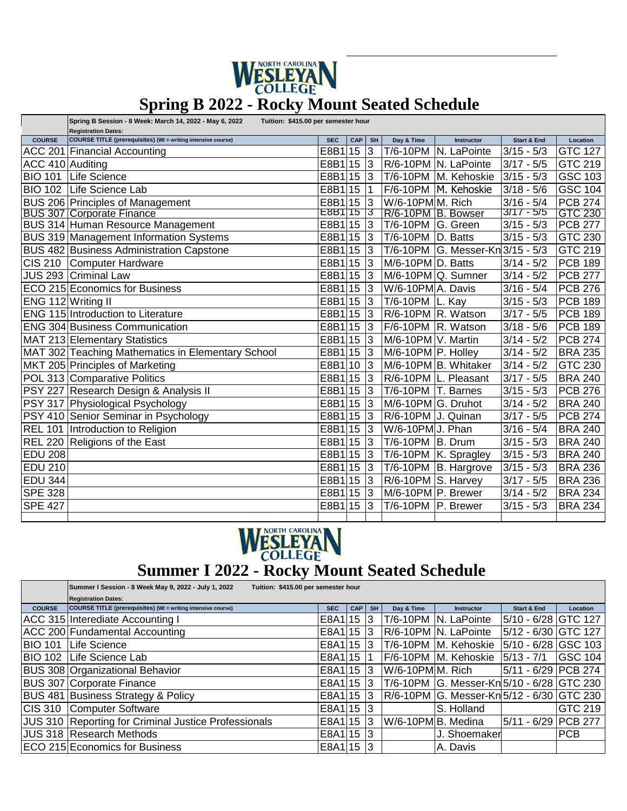

## **Spring B 2022 - Rocky Mount Seated Schedule**

|                    | Spring B Session - 8 Week: March 14, 2022 - May 6, 2022<br>Tuition: \$415.00 per semester hour    |            |      |           |                    |                                  |                        |                |  |
|--------------------|---------------------------------------------------------------------------------------------------|------------|------|-----------|--------------------|----------------------------------|------------------------|----------------|--|
| <b>COURSE</b>      | <b>Registration Dates:</b><br><b>COURSE TITLE (prerequisites) (WI = writing intensive course)</b> | <b>SEC</b> | CAP  | <b>SH</b> | Day & Time         | Instructor                       | <b>Start &amp; End</b> | Location       |  |
|                    | ACC 201 Financial Accounting                                                                      | E8B115     |      | 3         |                    | T/6-10PM N. LaPointe             | $3/15 - 5/3$           | <b>GTC 127</b> |  |
| ACC 410 Auditing   |                                                                                                   | E8B1 15 3  |      |           |                    | R/6-10PM N. LaPointe             | $3/17 - 5/5$           | GTC 219        |  |
| <b>BIO 101</b>     | Life Science                                                                                      | E8B1 15 3  |      |           |                    | T/6-10PM M. Kehoskie             | $3/15 - 5/3$           | GSC 103        |  |
| <b>BIO 102</b>     | Life Science Lab                                                                                  | E8B1 15  1 |      |           |                    | F/6-10PM M. Kehoskie             | $3/18 - 5/6$           | GSC 104        |  |
|                    | BUS 206 Principles of Management                                                                  | E8B1 15 3  |      |           | W/6-10PMM. Rich    |                                  | $3/16 - 5/4$           | <b>PCB 274</b> |  |
|                    | <b>BUS 307 Corporate Finance</b>                                                                  | E8B11513   |      |           | R/6-10PM B. Bowser |                                  | $3/17 - 5/5$           | GTC 230        |  |
|                    | <b>BUS 314 Human Resource Management</b>                                                          | E8B1 15 3  |      |           | T/6-10PM G. Green  |                                  | $3/15 - 5/3$           | <b>PCB 277</b> |  |
|                    | <b>BUS 319 Management Information Systems</b>                                                     | E8B1 15 3  |      |           | T/6-10PM           | D. Batts                         | $3/15 - 5/3$           | GTC 230        |  |
|                    | <b>BUS 482 Business Administration Capstone</b>                                                   | E8B1 15 3  |      |           |                    | T/6-10PM G. Messer-Kn 3/15 - 5/3 |                        | GTC 219        |  |
|                    | CIS 210 Computer Hardware                                                                         | E8B1 15 3  |      |           | M/6-10PM D. Batts  |                                  | $3/14 - 5/2$           | <b>PCB 189</b> |  |
|                    | JUS 293 Criminal Law                                                                              | E8B1 15 3  |      |           |                    | M/6-10PM Q. Sumner               | $3/14 - 5/2$           | <b>PCB 277</b> |  |
|                    | ECO 215 Economics for Business                                                                    | E8B1 15 3  |      |           | W/6-10PMA. Davis   |                                  | $3/16 - 5/4$           | <b>PCB 276</b> |  |
| ENG 112 Writing II |                                                                                                   | E8B1 15 3  |      |           | T/6-10PM L. Kay    |                                  | $3/15 - 5/3$           | <b>PCB 189</b> |  |
|                    | <b>ENG 115 Introduction to Literature</b>                                                         | E8B1 15 3  |      |           | R/6-10PM R. Watson |                                  | $3/17 - 5/5$           | <b>PCB 189</b> |  |
|                    | <b>ENG 304 Business Communication</b>                                                             | E8B1 15 3  |      |           | F/6-10PM R. Watson |                                  | $3/18 - 5/6$           | <b>PCB 189</b> |  |
|                    | MAT 213 Elementary Statistics                                                                     | E8B1 15 3  |      |           | M/6-10PM V. Martin |                                  | $3/14 - 5/2$           | <b>PCB 274</b> |  |
|                    | MAT 302 Teaching Mathematics in Elementary School                                                 | E8B1 15 3  |      |           | M/6-10PM P. Holley |                                  | $3/14 - 5/2$           | <b>BRA 235</b> |  |
|                    | MKT 205 Principles of Marketing                                                                   | E8B1 10 3  |      |           |                    | M/6-10PM B. Whitaker             | $3/14 - 5/2$           | GTC 230        |  |
|                    | POL 313 Comparative Politics                                                                      | E8B1 15 3  |      |           |                    | R/6-10PM L. Pleasant             | $3/17 - 5/5$           | <b>BRA 240</b> |  |
|                    | PSY 227 Research Design & Analysis II                                                             | E8B1 15 3  |      |           | T/6-10PM T. Barnes |                                  | $3/15 - 5/3$           | <b>PCB 276</b> |  |
|                    | PSY 317 Physiological Psychology                                                                  | E8B1 15 3  |      |           | M/6-10PM G. Druhot |                                  | $3/14 - 5/2$           | <b>BRA 240</b> |  |
|                    | PSY 410 Senior Seminar in Psychology                                                              | E8B1 15 3  |      |           | R/6-10PM J. Quinan |                                  | $3/17 - 5/5$           | <b>PCB 274</b> |  |
|                    | REL 101   Introduction to Religion                                                                | E8B1 15 3  |      |           | W/6-10PMJ. Phan    |                                  | $3/16 - 5/4$           | <b>BRA 240</b> |  |
|                    | REL 220 Religions of the East                                                                     | E8B1 15 3  |      |           | T/6-10PM           | B. Drum                          | $3/15 - 5/3$           | <b>BRA 240</b> |  |
| <b>EDU 208</b>     |                                                                                                   | E8B1 15 3  |      |           |                    | T/6-10PM K. Spragley             | $3/15 - 5/3$           | <b>BRA 240</b> |  |
| <b>EDU 210</b>     |                                                                                                   | E8B1 15 3  |      |           |                    | T/6-10PM   B. Hargrove           | $3/15 - 5/3$           | <b>BRA 236</b> |  |
| <b>EDU 344</b>     |                                                                                                   | E8B1 15 3  |      |           | R/6-10PM S. Harvey |                                  | $3/17 - 5/5$           | <b>BRA 236</b> |  |
| <b>SPE 328</b>     |                                                                                                   | E8B1 15 3  |      |           | M/6-10PM P. Brewer |                                  | $3/14 - 5/2$           | <b>BRA 234</b> |  |
| <b>SPE 427</b>     |                                                                                                   | E8B1       | 15 3 |           | T/6-10PM           | P. Brewer                        | $3/15 - 5/3$           | <b>BRA 234</b> |  |
|                    |                                                                                                   |            |      |           |                    |                                  |                        |                |  |



## **MESLEYAN**<br>
Summer I 2022 - Rocky Mount Seated Schedule

|                | Summer I Session - 8 Week May 9, 2022 - July 1, 2022<br>Tuition: \$415.00 per semester hour |            |            |           |                    |                                           |                        |                |  |
|----------------|---------------------------------------------------------------------------------------------|------------|------------|-----------|--------------------|-------------------------------------------|------------------------|----------------|--|
|                | <b>Registration Dates:</b>                                                                  |            |            |           |                    |                                           |                        |                |  |
| <b>COURSE</b>  | COURSE TITLE (prerequisites) (WI = writing intensive course)                                | <b>SEC</b> | <b>CAP</b> | <b>SH</b> | Day & Time         | <b>Instructor</b>                         | <b>Start &amp; End</b> | Location       |  |
|                | ACC 315 Interediate Accounting I                                                            | E8A1 15 3  |            |           | T/6-10PM           | <b>N. LaPointe</b>                        | 5/10 - 6/28 GTC 127    |                |  |
|                | ACC 200 Fundamental Accounting                                                              | E8A1 15 3  |            |           |                    | R/6-10PM N. LaPointe                      | 5/12 - 6/30 GTC 127    |                |  |
| <b>BIO 101</b> | Life Science                                                                                | E8A1 15 3  |            |           |                    | T/6-10PM M. Kehoskie                      | 5/10 - 6/28 GSC 103    |                |  |
| <b>BIO 102</b> | Life Science Lab                                                                            | E8A1 15 1  |            |           |                    | F/6-10PM M. Kehoskie                      | $5/13 - 7/1$           | <b>GSC 104</b> |  |
|                | <b>BUS 308 Organizational Behavior</b>                                                      | E8A1 15 3  |            |           | W/6-10PMM. Rich    |                                           | 5/11 - 6/29 PCB 274    |                |  |
|                | <b>BUS 307 Corporate Finance</b>                                                            | E8A1 15 3  |            |           |                    |                                           |                        |                |  |
|                | <b>BUS 481 Business Strategy &amp; Policy</b>                                               | E8A1 15 3  |            |           |                    | R/6-10PM G. Messer-Kn 5/12 - 6/30 GTC 230 |                        |                |  |
| <b>CIS 310</b> | Computer Software                                                                           | E8A1 15 3  |            |           |                    | S. Holland                                |                        | GTC 219        |  |
|                | JUS 310 Reporting for Criminal Justice Professionals                                        | E8A1 15    |            | -13       | W/6-10PM B. Medina |                                           | 5/11 - 6/29 PCB 277    |                |  |
|                | <b>JUS 318 Research Methods</b>                                                             | E8A1 15 3  |            |           |                    | J. Shoemaker                              |                        | <b>PCB</b>     |  |
|                | ECO 215 Economics for Business                                                              | E8A1 15 3  |            |           |                    | A. Davis                                  |                        |                |  |